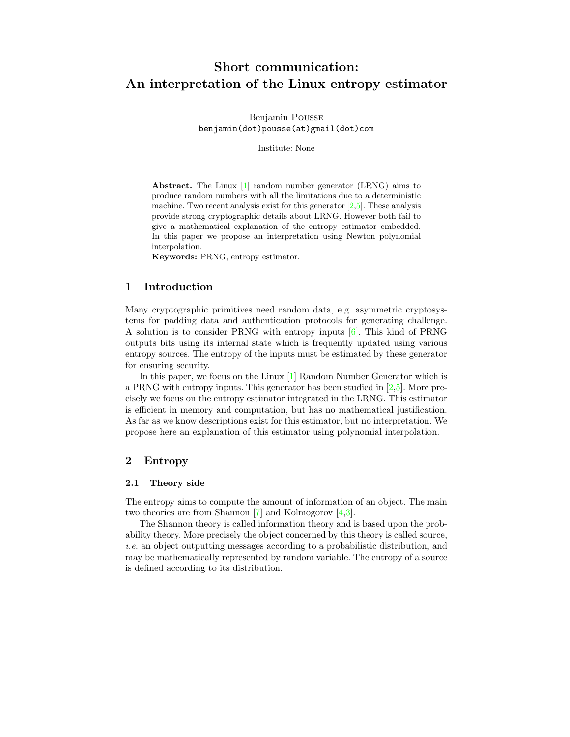# <span id="page-0-1"></span>Short communication: An interpretation of the Linux entropy estimator

Benjamin Pousse benjamin(dot)pousse(at)gmail(dot)com

Institute: None

Abstract. The Linux [\[1\]](#page-8-0) random number generator (LRNG) aims to produce random numbers with all the limitations due to a deterministic machine. Two recent analysis exist for this generator  $[2,5]$  $[2,5]$ . These analysis provide strong cryptographic details about LRNG. However both fail to give a mathematical explanation of the entropy estimator embedded. In this paper we propose an interpretation using Newton polynomial interpolation.

Keywords: PRNG, entropy estimator.

# <span id="page-0-2"></span>1 Introduction

Many cryptographic primitives need random data, e.g. asymmetric cryptosystems for padding data and authentication protocols for generating challenge. A solution is to consider PRNG with entropy inputs [\[6\]](#page-8-3). This kind of PRNG outputs bits using its internal state which is frequently updated using various entropy sources. The entropy of the inputs must be estimated by these generator for ensuring security.

In this paper, we focus on the Linux [\[1\]](#page-8-0) Random Number Generator which is a PRNG with entropy inputs. This generator has been studied in  $[2,5]$  $[2,5]$ . More precisely we focus on the entropy estimator integrated in the LRNG. This estimator is efficient in memory and computation, but has no mathematical justification. As far as we know descriptions exist for this estimator, but no interpretation. We propose here an explanation of this estimator using polynomial interpolation.

## <span id="page-0-0"></span>2 Entropy

#### <span id="page-0-3"></span>2.1 Theory side

The entropy aims to compute the amount of information of an object. The main two theories are from Shannon [\[7\]](#page-8-4) and Kolmogorov [\[4,](#page-8-5)[3\]](#page-8-6).

The Shannon theory is called information theory and is based upon the probability theory. More precisely the object concerned by this theory is called source, i.e. an object outputting messages according to a probabilistic distribution, and may be mathematically represented by random variable. The entropy of a source is defined according to its distribution.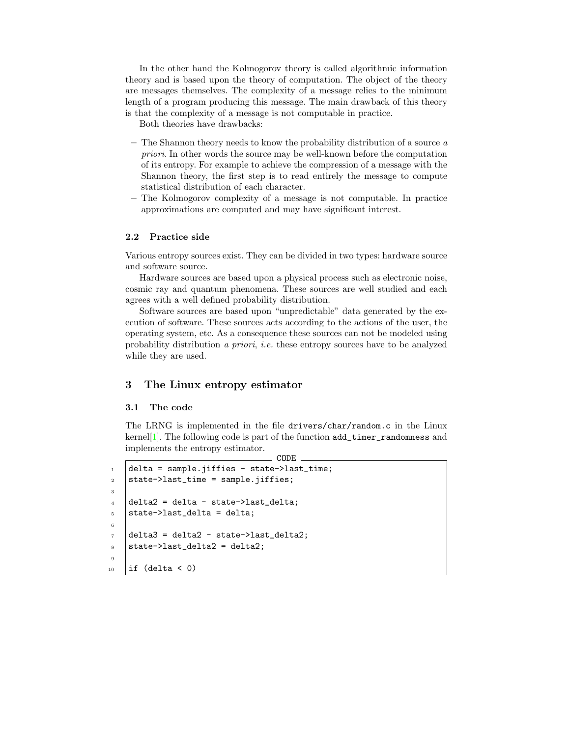In the other hand the Kolmogorov theory is called algorithmic information theory and is based upon the theory of computation. The object of the theory are messages themselves. The complexity of a message relies to the minimum length of a program producing this message. The main drawback of this theory is that the complexity of a message is not computable in practice.

Both theories have drawbacks:

- $-$  The Shannon theory needs to know the probability distribution of a source  $a$ priori. In other words the source may be well-known before the computation of its entropy. For example to achieve the compression of a message with the Shannon theory, the first step is to read entirely the message to compute statistical distribution of each character.
- The Kolmogorov complexity of a message is not computable. In practice approximations are computed and may have significant interest.

#### 2.2 Practice side

Various entropy sources exist. They can be divided in two types: hardware source and software source.

Hardware sources are based upon a physical process such as electronic noise, cosmic ray and quantum phenomena. These sources are well studied and each agrees with a well defined probability distribution.

Software sources are based upon "unpredictable" data generated by the execution of software. These sources acts according to the actions of the user, the operating system, etc. As a consequence these sources can not be modeled using probability distribution a priori, i.e. these entropy sources have to be analyzed while they are used.

# 3 The Linux entropy estimator

#### <span id="page-1-0"></span>3.1 The code

The LRNG is implemented in the file drivers/char/random.c in the Linux kernel<sup>[\[1\]](#page-8-0)</sup>. The following code is part of the function  $add\_timer\_randomness$  and implements the entropy estimator.

CODE

```
1 delta = sample.jiffies - state->last_time;
2 \times 2 state->last_time = sample.jiffies;
3
4 delta2 = delta - state->last_delta;
5 state->last_delta = delta;
6
7 delta3 = delta2 - state->last_delta2;
\frac{1}{8} state->last_delta2 = delta2;
9
_{10} | if (delta < 0)
```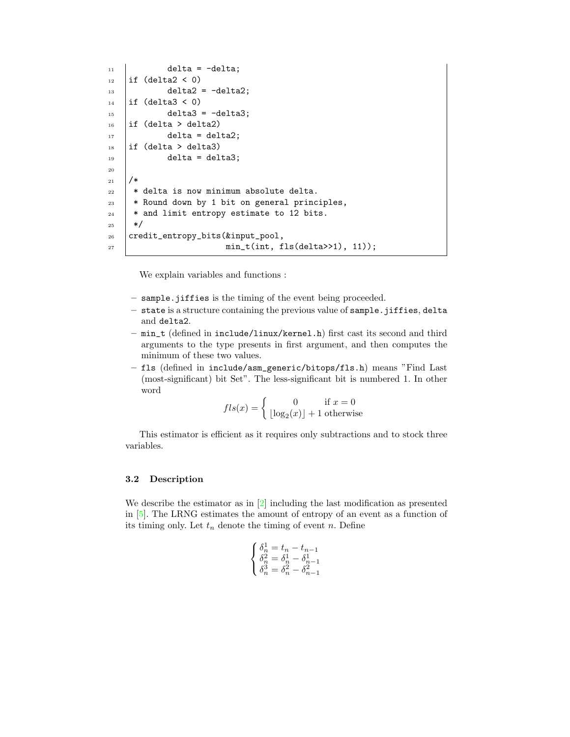```
11 delta = -delta;
_{12} | if (delta2 < 0)
13 delta2 = -delta2;
_{14} if (delta3 < 0)
15 delta3 = -delta3;
_{16} | if (delta > delta2)
17 delta = delta2;
_{18} | if (delta > delta3)
_{19} delta = delta3;
20
_{21} /*
22 * delta is now minimum absolute delta.
23 * Round down by 1 bit on general principles,
_{24} | * and limit entropy estimate to 12 bits.
_{25} */
26 credit_entropy_bits(&input_pool,
\begin{array}{|l|} \hline \text{min}{\hbox{1}} & \text{min}{\hbox{1}} & \text{min}{\hbox{1}} & \text{min}{\hbox{1}} \\\hline \end{array}
```
We explain variables and functions :

- sample.jiffies is the timing of the event being proceeded.
- state is a structure containing the previous value of sample.jiffies, delta and delta2.
- min\_t (defined in include/linux/kernel.h) first cast its second and third arguments to the type presents in first argument, and then computes the minimum of these two values.
- fls (defined in include/asm\_generic/bitops/fls.h) means "Find Last (most-significant) bit Set". The less-significant bit is numbered 1. In other word

$$
fls(x) = \begin{cases} 0 & \text{if } x = 0\\ \lfloor \log_2(x) \rfloor + 1 & \text{otherwise} \end{cases}
$$

This estimator is efficient as it requires only subtractions and to stock three variables.

## <span id="page-2-0"></span>3.2 Description

We describe the estimator as in [\[2\]](#page-8-1) including the last modification as presented in [\[5\]](#page-8-2). The LRNG estimates the amount of entropy of an event as a function of its timing only. Let  $t_n$  denote the timing of event n. Define

$$
\left\{ \begin{matrix} \delta_n^1=t_n-t_{n-1} \\ \delta_n^2=\delta_n^1-\delta_{n-1}^1 \\ \delta_n^3=\delta_n^2-\delta_{n-1}^2 \end{matrix} \right.
$$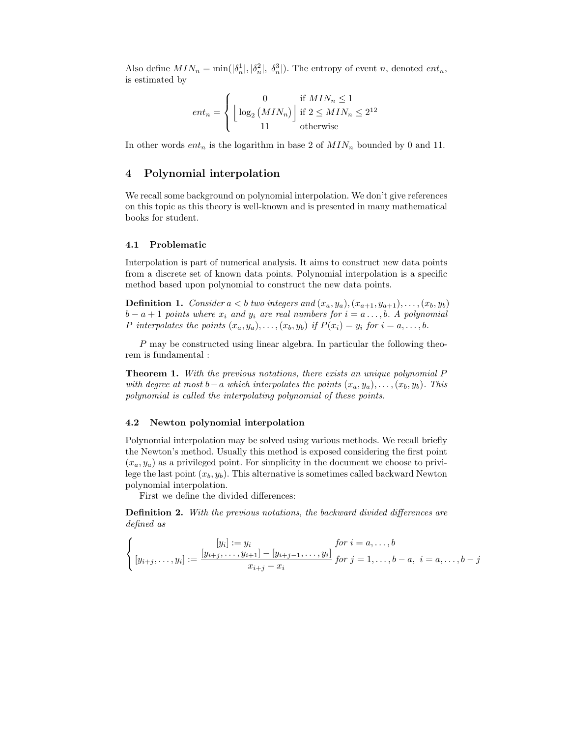Also define  $MIN_n = \min(|\delta_n^1|, |\delta_n^2|, |\delta_n^3|)$ . The entropy of event n, denoted  $ent_n$ , is estimated by

$$
ent_n = \begin{cases} 0 & \text{if } MIN_n \le 1\\ \left\lfloor \log_2 \left( MIN_n \right) \right\rfloor \text{ if } 2 \le MIN_n \le 2^{12}\\ 11 & \text{otherwise} \end{cases}
$$

In other words  $ent_n$  is the logarithm in base 2 of  $MIN_n$  bounded by 0 and 11.

# 4 Polynomial interpolation

We recall some background on polynomial interpolation. We don't give references on this topic as this theory is well-known and is presented in many mathematical books for student.

#### 4.1 Problematic

Interpolation is part of numerical analysis. It aims to construct new data points from a discrete set of known data points. Polynomial interpolation is a specific method based upon polynomial to construct the new data points.

**Definition 1.** Consider  $a < b$  two integers and  $(x_a, y_a), (x_{a+1}, y_{a+1}), \ldots, (x_b, y_b)$  $b - a + 1$  points where  $x_i$  and  $y_i$  are real numbers for  $i = a \ldots, b$ . A polynomial P interpolates the points  $(x_a, y_a), \ldots, (x_b, y_b)$  if  $P(x_i) = y_i$  for  $i = a, \ldots, b$ .

P may be constructed using linear algebra. In particular the following theorem is fundamental :

Theorem 1. With the previous notations, there exists an unique polynomial P with degree at most b−a which interpolates the points  $(x_a, y_a), \ldots, (x_b, y_b)$ . This polynomial is called the interpolating polynomial of these points.

### 4.2 Newton polynomial interpolation

Polynomial interpolation may be solved using various methods. We recall briefly the Newton's method. Usually this method is exposed considering the first point  $(x_a, y_a)$  as a privileged point. For simplicity in the document we choose to privilege the last point  $(x_b, y_b)$ . This alternative is sometimes called backward Newton polynomial interpolation.

First we define the divided differences:

Definition 2. With the previous notations, the backward divided differences are defined as

$$
\begin{cases}\n[y_i] := y_i & \text{for } i = a, \dots, b \\
[y_{i+j}, \dots, y_i] := \frac{[y_{i+j}, \dots, y_{i+1}] - [y_{i+j-1}, \dots, y_i]}{x_{i+j} - x_i} & \text{for } j = 1, \dots, b-a, \ i = a, \dots, b-j\n\end{cases}
$$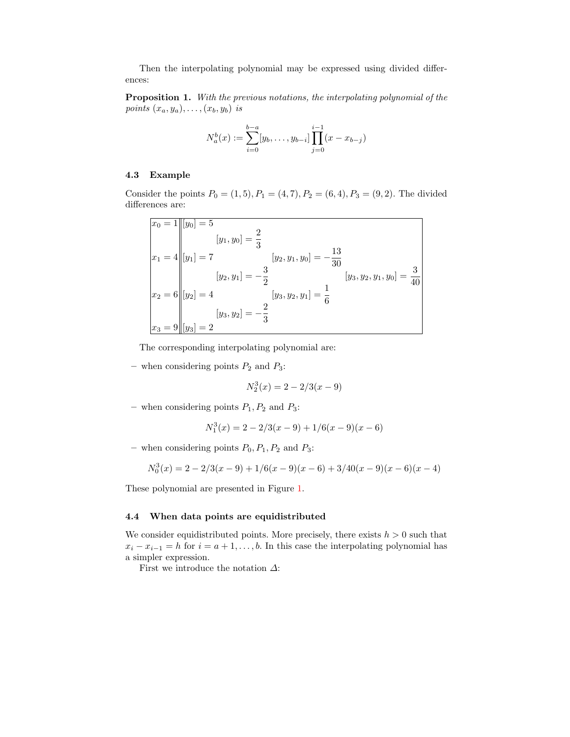Then the interpolating polynomial may be expressed using divided differences:

Proposition 1. With the previous notations, the interpolating polynomial of the points  $(x_a, y_a), \ldots, (x_b, y_b)$  is

$$
N_a^b(x) := \sum_{i=0}^{b-a} [y_b, \dots, y_{b-i}] \prod_{j=0}^{i-1} (x - x_{b-j})
$$

## 4.3 Example

Consider the points  $P_0 = (1, 5), P_1 = (4, 7), P_2 = (6, 4), P_3 = (9, 2).$  The divided differences are:

$$
\begin{aligned}\n\boxed{x_0 = 1 \quad |[y_0] = 5} \\
\boxed{x_1 = 4 \quad |[y_1] = 7} \\
\boxed{[y_1, y_0] = \frac{2}{3}} \\
\boxed{[y_2, y_1, y_0] = -\frac{13}{30}} \\
\boxed{[y_2, y_1] = -\frac{3}{2}} \\
\boxed{[y_3, y_2, y_1, y_0] = \frac{3}{40}} \\
\boxed{[y_3, y_2, y_1] = \frac{1}{6}} \\
\boxed{[y_3, y_2] = -\frac{2}{3}} \\
\boxed{[y_3, y_2] = -\frac{2}{3}}\n\end{aligned}
$$

The corresponding interpolating polynomial are:

– when considering points  $P_2$  and  $P_3$ :

$$
N_2^3(x) = 2 - 2/3(x - 9)
$$

– when considering points  $P_1, P_2$  and  $P_3$ :

$$
N_1^3(x) = 2 - 2/3(x - 9) + 1/6(x - 9)(x - 6)
$$

– when considering points  $P_0, P_1, P_2$  and  $P_3$ :

$$
N_0^3(x) = 2 - 2/3(x - 9) + 1/6(x - 9)(x - 6) + 3/40(x - 9)(x - 6)(x - 4)
$$

These polynomial are presented in Figure [1.](#page-5-0)

## 4.4 When data points are equidistributed

We consider equidistributed points. More precisely, there exists  $h > 0$  such that  $x_i - x_{i-1} = h$  for  $i = a+1, \ldots, b$ . In this case the interpolating polynomial has a simpler expression.

First we introduce the notation  $\Delta$ :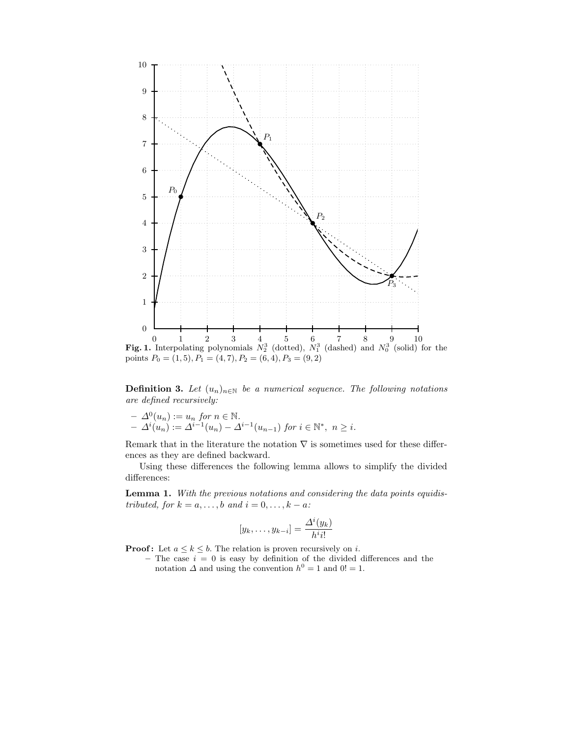

<span id="page-5-0"></span>**Definition 3.** Let  $(u_n)_{n\in\mathbb{N}}$  be a numerical sequence. The following notations are defined recursively:

$$
- \Delta^{0}(u_{n}) := u_{n} \text{ for } n \in \mathbb{N}.
$$
  

$$
- \Delta^{i}(u_{n}) := \Delta^{i-1}(u_{n}) - \Delta^{i-1}(u_{n-1}) \text{ for } i \in \mathbb{N}^{*}, n \geq i.
$$

Remark that in the literature the notation  $\nabla$  is sometimes used for these differences as they are defined backward.

Using these differences the following lemma allows to simplify the divided differences:

Lemma 1. With the previous notations and considering the data points equidistributed, for  $k = a, \ldots, b$  and  $i = 0, \ldots, k - a$ :

$$
[y_k, \ldots, y_{k-i}] = \frac{\Delta^i(y_k)}{h^i i!}
$$

**Proof:** Let  $a \leq k \leq b$ . The relation is proven recursively on *i*.

– The case  $i = 0$  is easy by definition of the divided differences and the notation  $\Delta$  and using the convention  $h^0 = 1$  and  $0! = 1$ .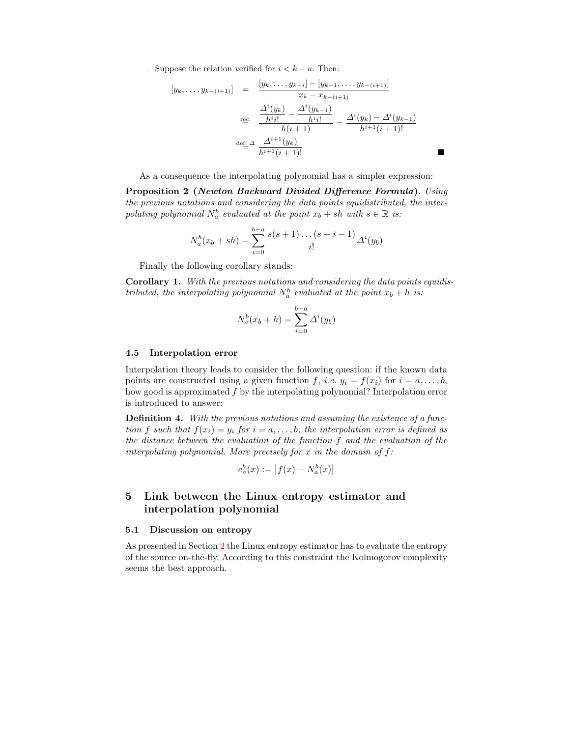– Suppose the relation verified for  $i < k - a$ . Then:

$$
[y_k, \dots, y_{k-(i+1)}] = \frac{[y_k, \dots, y_{k-i}] - [y_{k-1}, \dots, y_{k-(i+1)}]}{x_k - x_{k-(i+1)}} \\
 \frac{\Delta^i(y_k)}{\Delta^i y_k} - \frac{\Delta^i(y_{k-1})}{h^i y_k!} = \frac{\Delta^i(y_k) - \Delta^i(y_{k-1})}{h^{i+1}(i+1)!} \\
 \frac{\Delta^i(y_k)}{\Delta^i y_k} - \frac{\Delta^i(y_k) - \Delta^i(y_k)}{h^{i+1}(i+1)!} = \frac{\Delta^i(y_k) - \Delta^i(y_k)}{h^{i+1}(i+1)!}
$$

As a consequence the interpolating polynomial has a simpler expression:

Proposition 2 (Newton Backward Divided Difference Formula). Using the previous notations and considering the data points equidistributed, the interpolating polynomial  $N_a^b$  evaluated at the point  $x_b + sh$  with  $s \in \mathbb{R}$  is:

$$
N_a^b(x_b + sh) = \sum_{i=0}^{b-a} \frac{s(s+1)\dots(s+i-1)}{i!} \Delta^i(y_b)
$$

Finally the following corollary stands:

Corollary 1. With the previous notations and considering the data points equidistributed, the interpolating polynomial  $N_a^b$  evaluated at the point  $x_b + h$  is:

<span id="page-6-0"></span>
$$
N_a^b(x_b + h) = \sum_{i=0}^{b-a} \Delta^i(y_b)
$$

#### 4.5 Interpolation error

Interpolation theory leads to consider the following question: if the known data points are constructed using a given function f, i.e.  $y_i = f(x_i)$  for  $i = a, \ldots, b$ , how good is approximated f by the interpolating polynomial? Interpolation error is introduced to answer:

**Definition 4.** With the previous notations and assuming the existence of a function f such that  $f(x_i) = y_i$  for  $i = a, \ldots, b$ , the interpolation error is defined as the distance between the evaluation of the function f and the evaluation of the interpolating polynomial. More precisely for x in the domain of  $f$ :

$$
e_a^b(x) := |f(x) - N_a^b(x)|
$$

# 5 Link between the Linux entropy estimator and interpolation polynomial

#### 5.1 Discussion on entropy

As presented in Section [2](#page-0-0) the Linux entropy estimator has to evaluate the entropy of the source on-the-fly. According to this constraint the Kolmogorov complexity seems the best approach.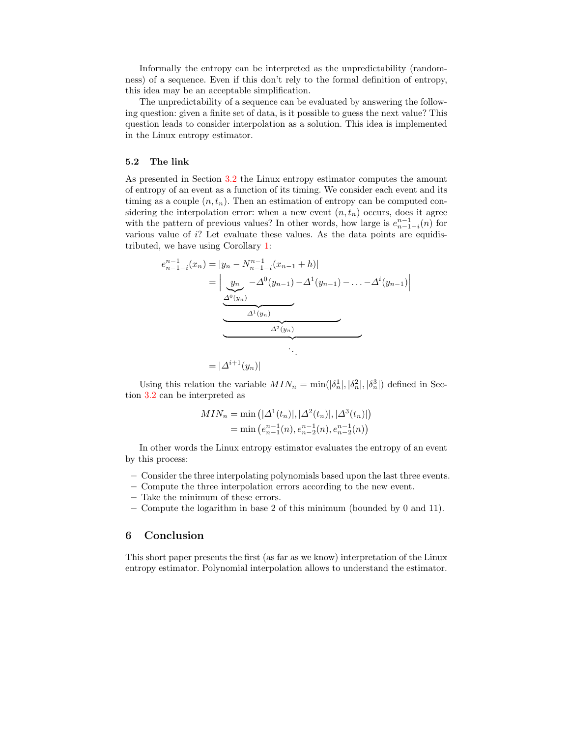Informally the entropy can be interpreted as the unpredictability (randomness) of a sequence. Even if this don't rely to the formal definition of entropy, this idea may be an acceptable simplification.

The unpredictability of a sequence can be evaluated by answering the following question: given a finite set of data, is it possible to guess the next value? This question leads to consider interpolation as a solution. This idea is implemented in the Linux entropy estimator.

#### 5.2 The link

As presented in Section [3.2](#page-2-0) the Linux entropy estimator computes the amount of entropy of an event as a function of its timing. We consider each event and its timing as a couple  $(n,t_n)$ . Then an estimation of entropy can be computed considering the interpolation error: when a new event  $(n,t_n)$  occurs, does it agree with the pattern of previous values? In other words, how large is  $e_{n-1-i}^{n-1}(n)$  for various value of i? Let evaluate these values. As the data points are equidistributed, we have using Corollary [1:](#page-6-0)

$$
e_{n-1-i}^{n-1}(x_n) = |y_n - N_{n-1-i}^{n-1}(x_{n-1} + h)|
$$
  
= 
$$
\left| \underbrace{y_n}_{\Delta^0(y_n)} - \Delta^0(y_{n-1}) - \Delta^1(y_{n-1}) - \dots - \Delta^i(y_{n-1}) \right|
$$
  

$$
\Delta^1(y_n)
$$
  
= 
$$
|\Delta^{i+1}(y_n)|
$$

Using this relation the variable  $MIN_n = \min(|\delta_n^1|, |\delta_n^2|, |\delta_n^3|)$  defined in Section [3.2](#page-2-0) can be interpreted as

$$
MIN_n = \min\left(|\Delta^1(t_n)|, |\Delta^2(t_n)|, |\Delta^3(t_n)|\right)
$$
  
= 
$$
\min\left(e_{n-1}^{n-1}(n), e_{n-2}^{n-1}(n), e_{n-2}^{n-1}(n)\right)
$$

In other words the Linux entropy estimator evaluates the entropy of an event by this process:

- Consider the three interpolating polynomials based upon the last three events.
- Compute the three interpolation errors according to the new event.
- Take the minimum of these errors.
- Compute the logarithm in base 2 of this minimum (bounded by 0 and 11).

## 6 Conclusion

This short paper presents the first (as far as we know) interpretation of the Linux entropy estimator. Polynomial interpolation allows to understand the estimator.